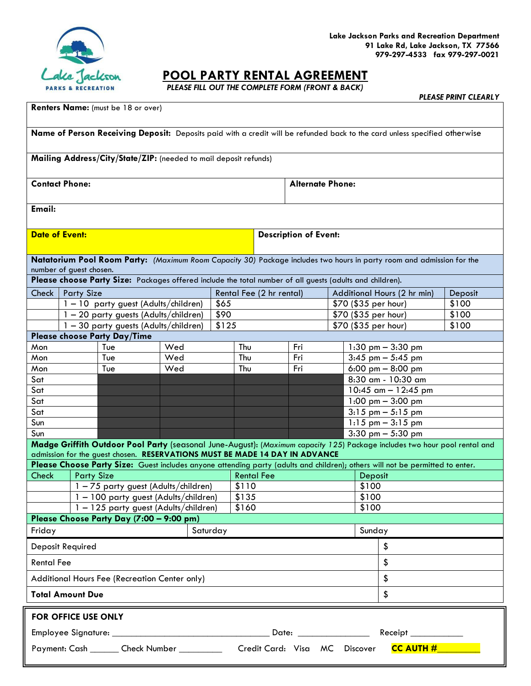

# **POOL PARTY RENTAL AGREEMENT**

*PLEASE FILL OUT THE COMPLETE FORM (FRONT & BACK)*

*PLEASE PRINT CLEARLY*

| Renters Name: (must be 18 or over)                                                                                                                                                                        |                                       |  |                                               |     |       |       |                              |  |                               |                                             |         |  |
|-----------------------------------------------------------------------------------------------------------------------------------------------------------------------------------------------------------|---------------------------------------|--|-----------------------------------------------|-----|-------|-------|------------------------------|--|-------------------------------|---------------------------------------------|---------|--|
| Name of Person Receiving Deposit: Deposits paid with a credit will be refunded back to the card unless specified otherwise                                                                                |                                       |  |                                               |     |       |       |                              |  |                               |                                             |         |  |
| Mailing Address/City/State/ZIP: (needed to mail deposit refunds)                                                                                                                                          |                                       |  |                                               |     |       |       |                              |  |                               |                                             |         |  |
| <b>Contact Phone:</b>                                                                                                                                                                                     |                                       |  |                                               |     |       |       | <b>Alternate Phone:</b>      |  |                               |                                             |         |  |
| <b>Email:</b>                                                                                                                                                                                             |                                       |  |                                               |     |       |       |                              |  |                               |                                             |         |  |
| <b>Date of Event:</b>                                                                                                                                                                                     |                                       |  |                                               |     |       |       | <b>Description of Event:</b> |  |                               |                                             |         |  |
| Natatorium Pool Room Party: (Maximum Room Capacity 30) Package includes two hours in party room and admission for the<br>number of guest chosen.                                                          |                                       |  |                                               |     |       |       |                              |  |                               |                                             |         |  |
| Please choose Party Size: Packages offered include the total number of all guests (adults and children).                                                                                                  |                                       |  |                                               |     |       |       |                              |  |                               |                                             |         |  |
| Check                                                                                                                                                                                                     | <b>Party Size</b>                     |  |                                               |     |       |       | Rental Fee (2 hr rental)     |  |                               | Additional Hours (2 hr min)                 | Deposit |  |
|                                                                                                                                                                                                           | 1 - 10 party guest (Adults/children)  |  |                                               |     |       | \$65  |                              |  |                               | \$100<br>\$70 (\$35 per hour)               |         |  |
|                                                                                                                                                                                                           | 1 - 20 party guests (Adults/children) |  |                                               |     | \$90  |       |                              |  | \$70 (\$35 per hour)<br>\$100 |                                             |         |  |
|                                                                                                                                                                                                           | 1 - 30 party guests (Adults/children) |  |                                               |     |       | \$125 |                              |  |                               | \$70 (\$35 per hour)<br>\$100               |         |  |
| <b>Please choose Party Day/Time</b>                                                                                                                                                                       |                                       |  |                                               |     |       |       |                              |  |                               |                                             |         |  |
| Mon                                                                                                                                                                                                       |                                       |  | Tue                                           | Wed |       |       | Thu<br>Fri                   |  | 1:30 pm $-$ 3:30 pm           |                                             |         |  |
| Mon                                                                                                                                                                                                       |                                       |  | Tue                                           | Wed |       | Thu   | Fri                          |  |                               | $3:45$ pm $-5:45$ pm                        |         |  |
| Mon                                                                                                                                                                                                       |                                       |  | Tue                                           | Wed |       |       | Fri<br>Thu                   |  |                               | 6:00 pm $-$ 8:00 pm                         |         |  |
| Sat                                                                                                                                                                                                       |                                       |  |                                               |     |       |       |                              |  |                               | 8:30 am - 10:30 am                          |         |  |
| Sat                                                                                                                                                                                                       |                                       |  |                                               |     |       |       |                              |  |                               | 10:45 $\text{cm} - 12:45 \text{ pm}$        |         |  |
| Sat<br>Sat                                                                                                                                                                                                |                                       |  |                                               |     |       |       |                              |  |                               | 1:00 pm $-$ 3:00 pm<br>$3:15$ pm $-5:15$ pm |         |  |
| Sun                                                                                                                                                                                                       |                                       |  |                                               |     |       |       |                              |  |                               | $1:15$ pm $-3:15$ pm                        |         |  |
| Sun                                                                                                                                                                                                       |                                       |  |                                               |     |       |       |                              |  |                               | $3:30$ pm $-5:30$ pm                        |         |  |
|                                                                                                                                                                                                           |                                       |  |                                               |     |       |       |                              |  |                               |                                             |         |  |
| Madge Griffith Outdoor Pool Party (seasonal June-August): (Maximum capacity 125) Package includes two hour pool rental and<br>admission for the guest chosen. RESERVATIONS MUST BE MADE 14 DAY IN ADVANCE |                                       |  |                                               |     |       |       |                              |  |                               |                                             |         |  |
| Please Choose Party Size: Guest includes anyone attending party (adults and children); others will not be permitted to enter.                                                                             |                                       |  |                                               |     |       |       |                              |  |                               |                                             |         |  |
| <b>Check</b>                                                                                                                                                                                              | <b>Party Size</b>                     |  |                                               |     |       |       | <b>Rental Fee</b>            |  |                               | Deposit                                     |         |  |
|                                                                                                                                                                                                           | 1 - 75 party guest (Adults/children)  |  |                                               |     | \$110 |       |                              |  | \$100                         |                                             |         |  |
|                                                                                                                                                                                                           | 1 - 100 party guest (Adults/children) |  |                                               |     |       | \$135 |                              |  |                               | \$100                                       |         |  |
|                                                                                                                                                                                                           | 1 - 125 party guest (Adults/children) |  |                                               |     |       | \$160 | \$100                        |  |                               |                                             |         |  |
| Please Choose Party Day (7:00 - 9:00 pm)<br>Saturday<br>Sunday<br>Friday                                                                                                                                  |                                       |  |                                               |     |       |       |                              |  |                               |                                             |         |  |
| Deposit Required                                                                                                                                                                                          |                                       |  |                                               |     |       |       |                              |  |                               | \$                                          |         |  |
| <b>Rental Fee</b>                                                                                                                                                                                         |                                       |  |                                               |     |       |       |                              |  |                               | \$                                          |         |  |
|                                                                                                                                                                                                           |                                       |  | Additional Hours Fee (Recreation Center only) |     |       |       |                              |  |                               | \$                                          |         |  |
| <b>Total Amount Due</b>                                                                                                                                                                                   |                                       |  |                                               |     |       |       |                              |  |                               | \$                                          |         |  |
| <b>FOR OFFICE USE ONLY</b>                                                                                                                                                                                |                                       |  |                                               |     |       |       |                              |  |                               |                                             |         |  |
| Date: ________________<br>Receipt ______________                                                                                                                                                          |                                       |  |                                               |     |       |       |                              |  |                               |                                             |         |  |
| Payment: Cash _______ Check Number _________<br>Discover<br>$CC$ AUTH $#$ and $\blacksquare$<br>Credit Card: Visa MC                                                                                      |                                       |  |                                               |     |       |       |                              |  |                               |                                             |         |  |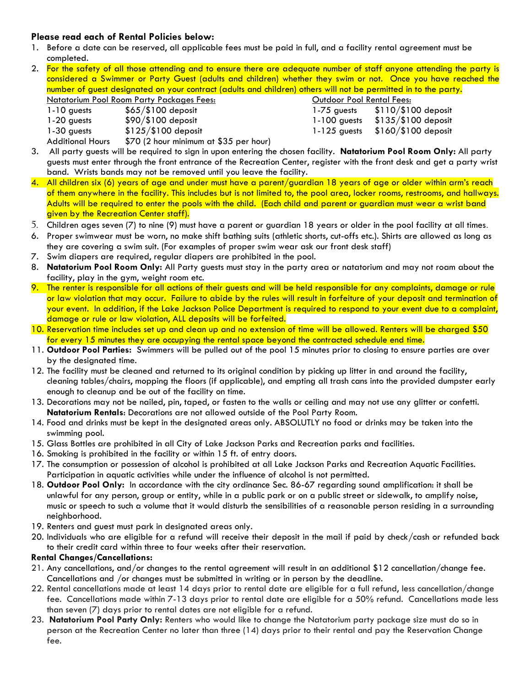## **Please read each of Rental Policies below:**

- 1. Before a date can be reserved, all applicable fees must be paid in full, and a facility rental agreement must be completed.
- 2. For the safety of all those attending and to ensure there are adequate number of staff anyone attending the party is considered a Swimmer or Party Guest (adults and children) whether they swim or not. Once you have reached the number of guest designated on your contract (adults and children) others will not be permitted in to the party. Natatorium Pool Room Party Packages Fees: Cuttoor Pool Rental Fees:

1-10 guests \$65/\$100 deposit 1-75 guests \$110/\$100 deposit 1-20 guests \$90/\$100 deposit 1-100 guests \$135/\$100 deposit

1-30 guests \$125/\$100 deposit 1-125 guests \$160/\$100 deposit

Additional Hours \$70 (2 hour minimum at \$35 per hour)

- 3. All party guests will be required to sign in upon entering the chosen facility. **Natatorium Pool Room Only:** All party guests must enter through the front entrance of the Recreation Center, register with the front desk and get a party wrist band. Wrists bands may not be removed until you leave the facility.
- 4. All children six (6) years of age and under must have a parent/guardian 18 years of age or older within arm's reach of them anywhere in the facility. This includes but is not limited to, the pool area, locker rooms, restrooms, and hallways. Adults will be required to enter the pools with the child. (Each child and parent or guardian must wear a wrist band given by the Recreation Center staff).
- 5. Children ages seven (7) to nine (9) must have a parent or guardian 18 years or older in the pool facility at all times.
- 6. Proper swimwear must be worn, no make shift bathing suits (athletic shorts, cut-offs etc.). Shirts are allowed as long as they are covering a swim suit. (For examples of proper swim wear ask our front desk staff)
- 7. Swim diapers are required, regular diapers are prohibited in the pool.
- 8. **Natatorium Pool Room Only:** All Party guests must stay in the party area or natatorium and may not roam about the facility, play in the gym, weight room etc.
- 9. The renter is responsible for all actions of their guests and will be held responsible for any complaints, damage or rule or law violation that may occur. Failure to abide by the rules will result in forfeiture of your deposit and termination of your event. In addition, if the Lake Jackson Police Department is required to respond to your event due to a complaint, damage or rule or law violation, ALL deposits will be forfeited.
- 10. Reservation time includes set up and clean up and no extension of time will be allowed. Renters will be charged \$50 for every 15 minutes they are occupying the rental space beyond the contracted schedule end time.
- 11. **Outdoor Pool Parties:** Swimmers will be pulled out of the pool 15 minutes prior to closing to ensure parties are over by the designated time.
- 12. The facility must be cleaned and returned to its original condition by picking up litter in and around the facility, cleaning tables/chairs, mopping the floors (if applicable), and empting all trash cans into the provided dumpster early enough to cleanup and be out of the facility on time.
- 13. Decorations may not be nailed, pin, taped, or fasten to the walls or ceiling and may not use any glitter or confetti. **Natatorium Rentals**: Decorations are not allowed outside of the Pool Party Room.
- 14. Food and drinks must be kept in the designated areas only. ABSOLUTLY no food or drinks may be taken into the swimming pool.
- 15. Glass Bottles are prohibited in all City of Lake Jackson Parks and Recreation parks and facilities.
- 16. Smoking is prohibited in the facility or within 15 ft. of entry doors.
- 17. The consumption or possession of alcohol is prohibited at all Lake Jackson Parks and Recreation Aquatic Facilities. Participation in aquatic activities while under the influence of alcohol is not permitted.
- 18. **Outdoor Pool Only:** In accordance with the city ordinance Sec. 86-67 regarding sound amplification: it shall be unlawful for any person, group or entity, while in a public park or on a public street or sidewalk, to amplify noise, music or speech to such a volume that it would disturb the sensibilities of a reasonable person residing in a surrounding neighborhood.
- 19. Renters and guest must park in designated areas only.
- 20. Individuals who are eligible for a refund will receive their deposit in the mail if paid by check/cash or refunded back to their credit card within three to four weeks after their reservation.

#### **Rental Changes/Cancellations:**

- 21. Any cancellations, and/or changes to the rental agreement will result in an additional \$12 cancellation/change fee. Cancellations and /or changes must be submitted in writing or in person by the deadline.
- 22. Rental cancellations made at least 14 days prior to rental date are eligible for a full refund, less cancellation/change fee. Cancellations made within 7-13 days prior to rental date are eligible for a 50% refund. Cancellations made less than seven (7) days prior to rental dates are not eligible for a refund.
- 23. **Natatorium Pool Party Only:** Renters who would like to change the Natatorium party package size must do so in person at the Recreation Center no later than three (14) days prior to their rental and pay the Reservation Change fee.